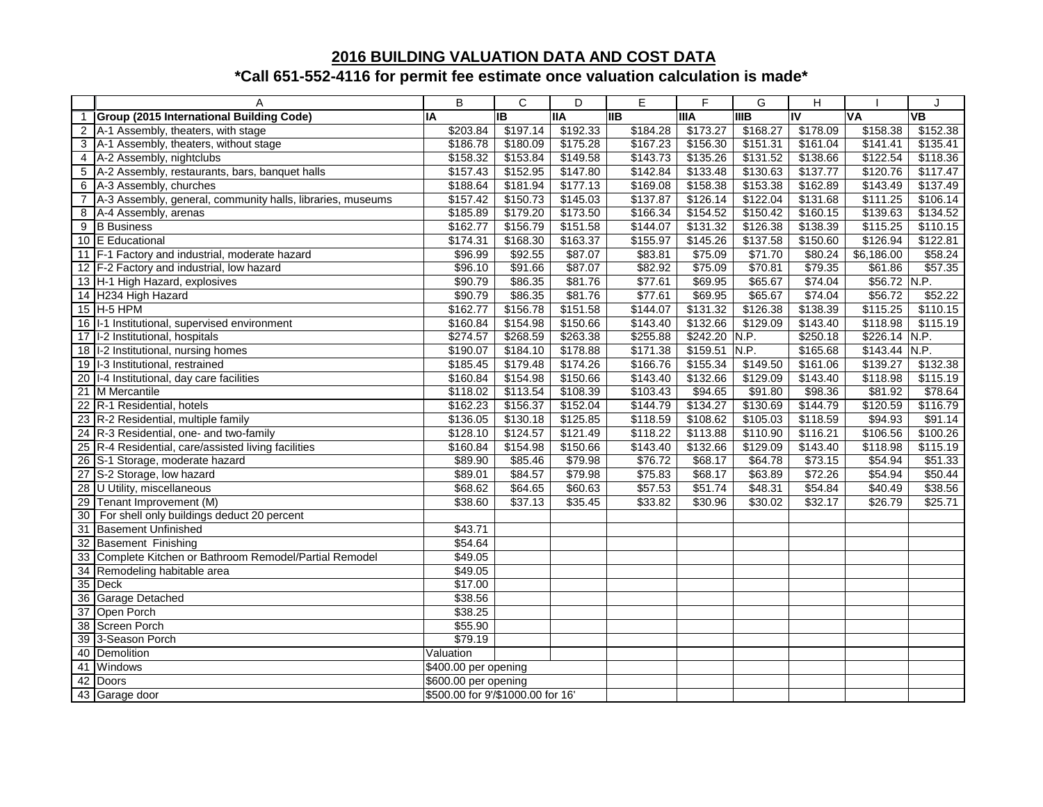## **2016 BUILDING VALUATION DATA AND COST DATA**

## **\*Call 651-552-4116 for permit fee estimate once valuation calculation is made\***

|                  | A                                                          | B                                 | $\mathsf{C}$ | D          | E          | F             | G           | H                                 |                | J                        |
|------------------|------------------------------------------------------------|-----------------------------------|--------------|------------|------------|---------------|-------------|-----------------------------------|----------------|--------------------------|
|                  | Group (2015 International Building Code)                   | IA                                | <b>IB</b>    | <b>IIA</b> | <b>IIB</b> | <b>IIIA</b>   | <b>IIIB</b> | $\overline{\mathsf{I}\mathsf{V}}$ | <b>VA</b>      | $\overline{\mathsf{VB}}$ |
|                  | 2 A-1 Assembly, theaters, with stage                       | \$203.84                          | \$197.14     | \$192.33   | \$184.28   | \$173.27      | \$168.27    | \$178.09                          | \$158.38       | \$152.38                 |
| 3                | A-1 Assembly, theaters, without stage                      | \$186.78                          | \$180.09     | \$175.28   | \$167.23   | \$156.30      | \$151.31    | \$161.04                          | \$141.41       | \$135.41                 |
| $\overline{4}$   | A-2 Assembly, nightclubs                                   | \$158.32                          | \$153.84     | \$149.58   | \$143.73   | \$135.26      | \$131.52    | \$138.66                          | \$122.54       | \$118.36                 |
|                  | 5 A-2 Assembly, restaurants, bars, banquet halls           | \$157.43                          | \$152.95     | \$147.80   | \$142.84   | \$133.48      | \$130.63    | \$137.77                          | \$120.76       | \$117.47                 |
| 6                | A-3 Assembly, churches                                     | \$188.64                          | \$181.94     | \$177.13   | \$169.08   | \$158.38      | \$153.38    | \$162.89                          | \$143.49       | \$137.49                 |
| $\overline{7}$   | A-3 Assembly, general, community halls, libraries, museums | \$157.42                          | \$150.73     | \$145.03   | \$137.87   | \$126.14      | \$122.04    | \$131.68                          | \$111.25       | \$106.14                 |
| 8                | A-4 Assembly, arenas                                       | \$185.89                          | \$179.20     | \$173.50   | \$166.34   | \$154.52      | \$150.42    | \$160.15                          | \$139.63       | \$134.52                 |
| $\boldsymbol{9}$ | <b>B</b> Business                                          | \$162.77                          | \$156.79     | \$151.58   | \$144.07   | \$131.32      | \$126.38    | \$138.39                          | \$115.25       | \$110.15                 |
|                  | 10 E Educational                                           | \$174.31                          | \$168.30     | \$163.37   | \$155.97   | \$145.26      | \$137.58    | \$150.60                          | \$126.94       | \$122.81                 |
|                  | 11 F-1 Factory and industrial, moderate hazard             | \$96.99                           | \$92.55      | \$87.07    | \$83.81    | \$75.09       | \$71.70     | \$80.24                           | \$6,186.00     | \$58.24                  |
|                  | 12 F-2 Factory and industrial, low hazard                  | \$96.10                           | \$91.66      | \$87.07    | \$82.92    | \$75.09       | \$70.81     | \$79.35                           | \$61.86        | \$57.35                  |
|                  | 13 H-1 High Hazard, explosives                             | \$90.79                           | \$86.35      | \$81.76    | \$77.61    | \$69.95       | \$65.67     | \$74.04                           | $$56.72$ N.P.  |                          |
|                  | 14 H234 High Hazard                                        | \$90.79                           | \$86.35      | \$81.76    | \$77.61    | \$69.95       | \$65.67     | \$74.04                           | \$56.72        | \$52.22                  |
|                  | 15 H-5 HPM                                                 | \$162.77                          | \$156.78     | \$151.58   | \$144.07   | \$131.32      | \$126.38    | \$138.39                          | \$115.25       | \$110.15                 |
|                  | 16 I-1 Institutional, supervised environment               | \$160.84                          | \$154.98     | \$150.66   | \$143.40   | \$132.66      | \$129.09    | \$143.40                          | \$118.98       | \$115.19                 |
|                  | 17 I-2 Institutional, hospitals                            | \$274.57                          | \$268.59     | \$263.38   | \$255.88   | \$242.20 N.P. |             | \$250.18                          | \$226.14 N.P.  |                          |
|                  | 18 I-2 Institutional, nursing homes                        | \$190.07                          | \$184.10     | \$178.88   | \$171.38   | \$159.51      | N.P.        | \$165.68                          | $$143.44$ N.P. |                          |
|                  | 19 I-3 Institutional, restrained                           | \$185.45                          | \$179.48     | \$174.26   | \$166.76   | \$155.34      | \$149.50    | \$161.06                          | \$139.27       | \$132.38                 |
|                  | 20 I-4 Institutional, day care facilities                  | \$160.84                          | \$154.98     | \$150.66   | \$143.40   | \$132.66      | \$129.09    | \$143.40                          | \$118.98       | \$115.19                 |
|                  | 21 M Mercantile                                            | \$118.02                          | \$113.54     | \$108.39   | \$103.43   | \$94.65       | \$91.80     | \$98.36                           | \$81.92        | \$78.64                  |
| $\overline{22}$  | R-1 Residential, hotels                                    | \$162.23                          | \$156.37     | \$152.04   | \$144.79   | \$134.27      | \$130.69    | \$144.79                          | \$120.59       | \$116.79                 |
|                  | 23 R-2 Residential, multiple family                        | \$136.05                          | \$130.18     | \$125.85   | \$118.59   | \$108.62      | \$105.03    | \$118.59                          | \$94.93        | \$91.14                  |
|                  | 24 R-3 Residential, one- and two-family                    | \$128.10                          | \$124.57     | \$121.49   | \$118.22   | \$113.88      | \$110.90    | \$116.21                          | \$106.56       | \$100.26                 |
|                  | 25 R-4 Residential, care/assisted living facilities        | \$160.84                          | \$154.98     | \$150.66   | \$143.40   | \$132.66      | \$129.09    | \$143.40                          | \$118.98       | \$115.19                 |
| 26               | S-1 Storage, moderate hazard                               | \$89.90                           | \$85.46      | \$79.98    | \$76.72    | \$68.17       | \$64.78     | \$73.15                           | \$54.94        | \$51.33                  |
|                  | 27 S-2 Storage, low hazard                                 | \$89.01                           | \$84.57      | \$79.98    | \$75.83    | \$68.17       | \$63.89     | \$72.26                           | \$54.94        | \$50.44                  |
|                  | 28 U Utility, miscellaneous                                | \$68.62                           | \$64.65      | \$60.63    | \$57.53    | \$51.74       | \$48.31     | \$54.84                           | \$40.49        | \$38.56                  |
| 29               | Tenant Improvement (M)                                     | \$38.60                           | \$37.13      | \$35.45    | \$33.82    | \$30.96       | \$30.02     | \$32.17                           | \$26.79        | \$25.71                  |
|                  | 30 For shell only buildings deduct 20 percent              |                                   |              |            |            |               |             |                                   |                |                          |
|                  | 31 Basement Unfinished                                     | \$43.71                           |              |            |            |               |             |                                   |                |                          |
|                  | 32 Basement Finishing                                      | \$54.64                           |              |            |            |               |             |                                   |                |                          |
|                  | 33 Complete Kitchen or Bathroom Remodel/Partial Remodel    | \$49.05                           |              |            |            |               |             |                                   |                |                          |
| 34               | Remodeling habitable area                                  | \$49.05                           |              |            |            |               |             |                                   |                |                          |
| 35               | <b>Deck</b>                                                | \$17.00                           |              |            |            |               |             |                                   |                |                          |
| 36               | Garage Detached                                            | \$38.56                           |              |            |            |               |             |                                   |                |                          |
|                  | 37 Open Porch                                              | \$38.25                           |              |            |            |               |             |                                   |                |                          |
| $\overline{38}$  | Screen Porch                                               | \$55.90                           |              |            |            |               |             |                                   |                |                          |
| 39               | 3-Season Porch                                             | \$79.19                           |              |            |            |               |             |                                   |                |                          |
|                  | 40 Demolition                                              | Valuation                         |              |            |            |               |             |                                   |                |                          |
| 41               | Windows                                                    | \$400.00 per opening              |              |            |            |               |             |                                   |                |                          |
| 42               | Doors                                                      | \$600.00 per opening              |              |            |            |               |             |                                   |                |                          |
|                  | 43 Garage door                                             | \$500.00 for 9'/\$1000.00 for 16' |              |            |            |               |             |                                   |                |                          |